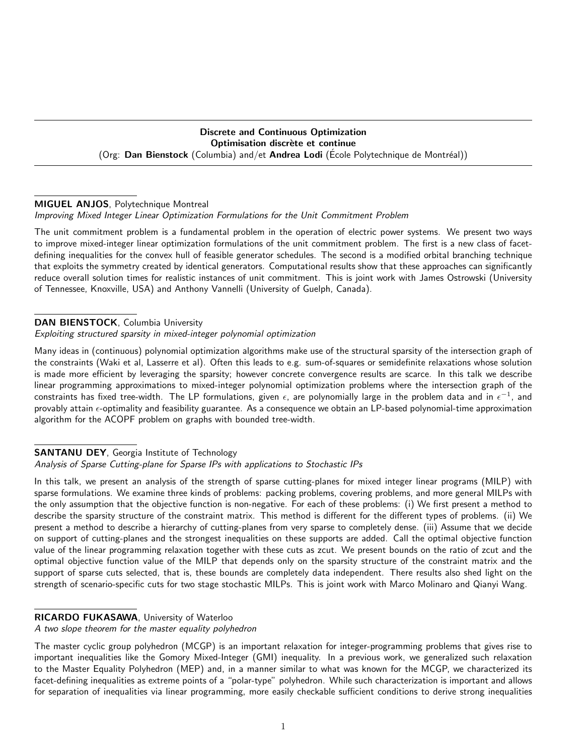# Discrete and Continuous Optimization Optimisation discrète et continue (Org: Dan Bienstock (Columbia) and/et Andrea Lodi (École Polytechnique de Montréal))

# MIGUEL ANJOS, Polytechnique Montreal

## Improving Mixed Integer Linear Optimization Formulations for the Unit Commitment Problem

The unit commitment problem is a fundamental problem in the operation of electric power systems. We present two ways to improve mixed-integer linear optimization formulations of the unit commitment problem. The first is a new class of facetdefining inequalities for the convex hull of feasible generator schedules. The second is a modified orbital branching technique that exploits the symmetry created by identical generators. Computational results show that these approaches can significantly reduce overall solution times for realistic instances of unit commitment. This is joint work with James Ostrowski (University of Tennessee, Knoxville, USA) and Anthony Vannelli (University of Guelph, Canada).

# DAN BIENSTOCK, Columbia University

## Exploiting structured sparsity in mixed-integer polynomial optimization

Many ideas in (continuous) polynomial optimization algorithms make use of the structural sparsity of the intersection graph of the constraints (Waki et al, Lasserre et al). Often this leads to e.g. sum-of-squares or semidefinite relaxations whose solution is made more efficient by leveraging the sparsity; however concrete convergence results are scarce. In this talk we describe linear programming approximations to mixed-integer polynomial optimization problems where the intersection graph of the constraints has fixed tree-width. The LP formulations, given  $\epsilon$ , are polynomially large in the problem data and in  $\epsilon^{-1}$ , and provably attain  $\epsilon$ -optimality and feasibility guarantee. As a consequence we obtain an LP-based polynomial-time approximation algorithm for the ACOPF problem on graphs with bounded tree-width.

# SANTANU DEY, Georgia Institute of Technology

#### Analysis of Sparse Cutting-plane for Sparse IPs with applications to Stochastic IPs

In this talk, we present an analysis of the strength of sparse cutting-planes for mixed integer linear programs (MILP) with sparse formulations. We examine three kinds of problems: packing problems, covering problems, and more general MILPs with the only assumption that the objective function is non-negative. For each of these problems: (i) We first present a method to describe the sparsity structure of the constraint matrix. This method is different for the different types of problems. (ii) We present a method to describe a hierarchy of cutting-planes from very sparse to completely dense. (iii) Assume that we decide on support of cutting-planes and the strongest inequalities on these supports are added. Call the optimal objective function value of the linear programming relaxation together with these cuts as zcut. We present bounds on the ratio of zcut and the optimal objective function value of the MILP that depends only on the sparsity structure of the constraint matrix and the support of sparse cuts selected, that is, these bounds are completely data independent. There results also shed light on the strength of scenario-specific cuts for two stage stochastic MILPs. This is joint work with Marco Molinaro and Qianyi Wang.

# RICARDO FUKASAWA, University of Waterloo

A two slope theorem for the master equality polyhedron

The master cyclic group polyhedron (MCGP) is an important relaxation for integer-programming problems that gives rise to important inequalities like the Gomory Mixed-Integer (GMI) inequality. In a previous work, we generalized such relaxation to the Master Equality Polyhedron (MEP) and, in a manner similar to what was known for the MCGP, we characterized its facet-defining inequalities as extreme points of a "polar-type" polyhedron. While such characterization is important and allows for separation of inequalities via linear programming, more easily checkable sufficient conditions to derive strong inequalities